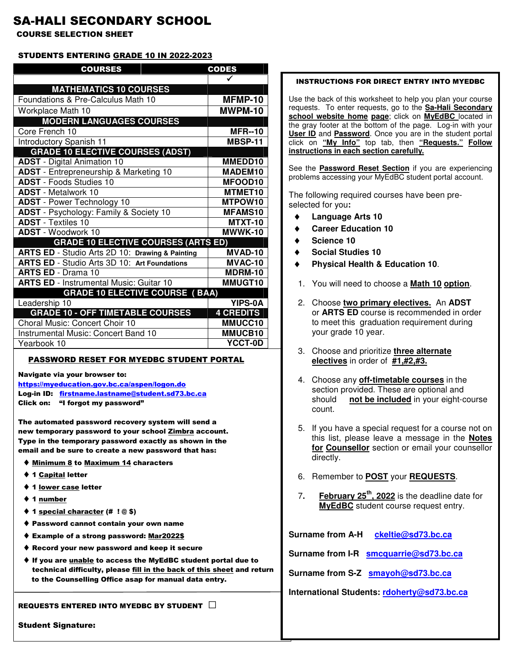# SA-HALI SECONDARY SCHOOL

COURSE SELECTION SHEET

#### STUDENTS ENTERING GRADE 10 IN 2022-2023

| <b>COURSES</b>                                      | <b>CODES</b>        |  |
|-----------------------------------------------------|---------------------|--|
|                                                     |                     |  |
| <b>MATHEMATICS 10 COURSES</b>                       |                     |  |
| Foundations & Pre-Calculus Math 10                  | MFMP-10             |  |
| Workplace Math 10                                   | MWPM-10             |  |
| <b>MODERN LANGUAGES COURSES</b>                     |                     |  |
| Core French 10                                      | <b>MFR--10</b>      |  |
| Introductory Spanish 11                             | MBSP-11             |  |
| <b>GRADE 10 ELECTIVE COURSES (ADST)</b>             |                     |  |
| <b>ADST</b> - Digital Animation 10                  | MMEDD10             |  |
| ADST - Entrepreneurship & Marketing 10              | MADEM10             |  |
| <b>ADST</b> - Foods Studies 10                      | MFOOD10             |  |
| <b>ADST</b> - Metalwork 10                          | MTMET <sub>10</sub> |  |
| <b>ADST</b> - Power Technology 10                   | MTPOW10             |  |
| ADST - Psychology: Family & Society 10              | <b>MFAMS10</b>      |  |
| <b>ADST</b> - Textiles 10                           | <b>MTXT-10</b>      |  |
| <b>ADST</b> - Woodwork 10                           | MWWK-10             |  |
| <b>GRADE 10 ELECTIVE COURSES (ARTS ED)</b>          |                     |  |
| ARTS ED - Studio Arts 2D 10: Drawing & Painting     | <b>MVAD-10</b>      |  |
| <b>ARTS ED</b> - Studio Arts 3D 10: Art Foundations | <b>MVAC-10</b>      |  |
| <b>ARTS ED - Drama 10</b>                           | MDRM-10             |  |
| <b>ARTS ED - Instrumental Music: Guitar 10</b>      | MMUGT10             |  |
| <b>GRADE 10 ELECTIVE COURSE ( BAA)</b>              |                     |  |
| Leadership 10                                       | <b>YIPS-0A</b>      |  |
| <b>GRADE 10 - OFF TIMETABLE COURSES</b>             | <b>4 CREDITS</b>    |  |
| Choral Music: Concert Choir 10                      | MMUCC10             |  |
| Instrumental Music: Concert Band 10                 | MMUCB10             |  |
| Yearbook 10                                         | YCCT-0D             |  |

#### PASSWORD RESET FOR MYEDBC STUDENT PORTAL

Navigate via your browser to:

- https://myeducation.gov.bc.ca/aspen/logon.do Log-in ID: firstname.lastname@student.sd73.bc.ca
- Click on: "I forgot my password"

The automated password recovery system will send a new temporary password to your school Zimbra account. Type in the temporary password exactly as shown in the email and be sure to create a new password that has:

- ♦ Minimum 8 to Maximum 14 characters
- ♦ 1 Capital letter
- ♦ 1 lower case letter
- ♦ 1 number
- ♦ 1 special character (# ! @ \$)
- ♦ Password cannot contain your own name
- ♦ Example of a strong password: Mar2022\$
- ♦ Record your new password and keep it secure
- ♦ If you are unable to access the MyEdBC student portal due to technical difficulty, please fill in the back of this sheet and return to the Counselling Office asap for manual data entry.

#### REQUESTS ENTERED INTO MYEDBC BY STUDENT  $\Box$

**Student Signature:** 

#### INSTRUCTIONS FOR DIRECT ENTRY INTO MYEDBC

Use the back of this worksheet to help you plan your course requests. To enter requests, go to the **Sa-Hali Secondary school website home page**; click on **MyEdBC** located in the gray footer at the bottom of the page. Log-in with your **User ID** and **Password**. Once you are in the student portal click on **"My Info"** top tab, then **"Requests." Follow instructions in each section carefully.**

See the **Password Reset Section** if you are experiencing problems accessing your MyEdBC student portal account.

The following required courses have been preselected for you**:** 

- **Language Arts 10**
- **Career Education 10**
- Science 10
- ♦ **Social Studies 10**
- **Physical Health & Education 10.**
- 1. You will need to choose a **Math 10 option**.
- 2. Choose **two primary electives.** An **ADST** or **ARTS ED** course is recommended in order to meet this graduation requirement during your grade 10 year.
- 3. Choose and prioritize **three alternate electives** in order of **#1,#2,#3.**
- 4. Choose any **off-timetable courses** in the section provided. These are optional and should **not be included** in your eight-course count.
- 5. If you have a special request for a course not on this list, please leave a message in the **Notes for Counsellor** section or email your counsellor directly.
- 6. Remember to **POST** your **REQUESTS**.
- 7**. February 25th, 2022** is the deadline date for **MyEdBC** student course request entry.

**Surname from A-H ckeltie@sd73.bc.ca Surname from I-R smcquarrie@sd73.bc.ca** 

**Surname from S-Z smayoh@sd73.bc.ca** 

**International Students: rdoherty@sd73.bc.ca**